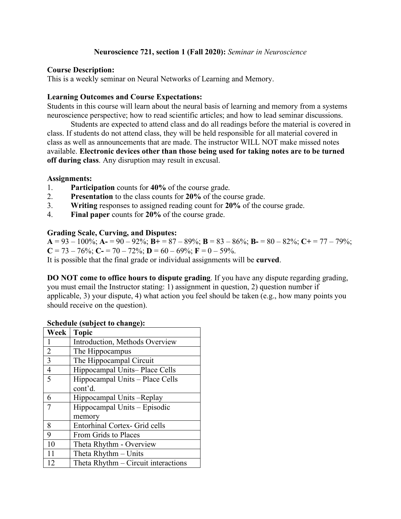## **Neuroscience 721, section 1 (Fall 2020):** *Seminar in Neuroscience*

### **Course Description:**

This is a weekly seminar on Neural Networks of Learning and Memory.

## **Learning Outcomes and Course Expectations:**

Students in this course will learn about the neural basis of learning and memory from a systems neuroscience perspective; how to read scientific articles; and how to lead seminar discussions.

Students are expected to attend class and do all readings before the material is covered in class. If students do not attend class, they will be held responsible for all material covered in class as well as announcements that are made. The instructor WILL NOT make missed notes available. **Electronic devices other than those being used for taking notes are to be turned off during class**. Any disruption may result in excusal.

## **Assignments:**

- 1. **Participation** counts for **40%** of the course grade.
- 2. **Presentation** to the class counts for **20%** of the course grade.
- 3. **Writing** responses to assigned reading count for **20%** of the course grade.
- 4. **Final paper** counts for **20%** of the course grade.

## **Grading Scale, Curving, and Disputes:**

 $A = 93 - 100\%$ ;  $A = 90 - 92\%$ ;  $B = 87 - 89\%$ ;  $B = 83 - 86\%$ ;  $B = 80 - 82\%$ ;  $C = 77 - 79\%$ ; **C** = 73 – 76%; **C**- = 70 – 72%; **D** = 60 – 69%; **F** = 0 – 59%. It is possible that the final grade or individual assignments will be **curved**.

**DO NOT come to office hours to dispute grading**. If you have any dispute regarding grading, you must email the Instructor stating: 1) assignment in question, 2) question number if applicable, 3) your dispute, 4) what action you feel should be taken (e.g., how many points you should receive on the question).

| Week           | <b>Topic</b>                         |
|----------------|--------------------------------------|
| 1              | Introduction, Methods Overview       |
| $\overline{2}$ | The Hippocampus                      |
| $\overline{3}$ | The Hippocampal Circuit              |
| $\overline{4}$ | Hippocampal Units-Place Cells        |
| $\overline{5}$ | Hippocampal Units - Place Cells      |
|                | cont'd.                              |
| 6              | Hippocampal Units -Replay            |
| $\overline{7}$ | Hippocampal Units – Episodic         |
|                | memory                               |
| 8              | <b>Entorhinal Cortex- Grid cells</b> |
| 9              | From Grids to Places                 |
| 10             | Theta Rhythm - Overview              |
| 11             | Theta Rhythm – Units                 |
| 12             | Theta Rhythm - Circuit interactions  |

### **Schedule (subject to change):**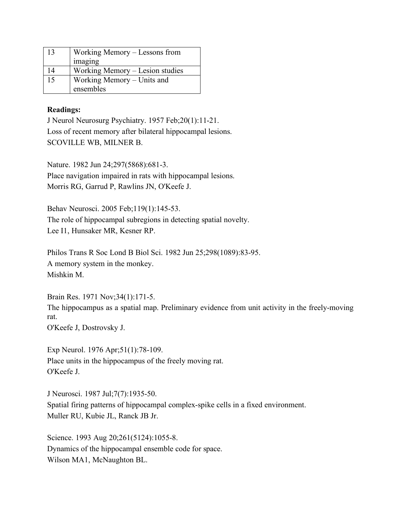| 13 | Working Memory – Lessons from   |
|----|---------------------------------|
|    | imaging                         |
| 14 | Working Memory – Lesion studies |
| 15 | Working Memory – Units and      |
|    | ensembles                       |

# **Readings:**

J Neurol Neurosurg Psychiatry. 1957 Feb;20(1):11-21. Loss of recent memory after bilateral hippocampal lesions. SCOVILLE WB, MILNER B.

Nature. 1982 Jun 24;297(5868):681-3. Place navigation impaired in rats with hippocampal lesions. Morris RG, Garrud P, Rawlins JN, O'Keefe J.

Behav Neurosci. 2005 Feb;119(1):145-53. The role of hippocampal subregions in detecting spatial novelty. Lee I1, Hunsaker MR, Kesner RP.

Philos Trans R Soc Lond B Biol Sci. 1982 Jun 25;298(1089):83-95. A memory system in the monkey. Mishkin M.

Brain Res. 1971 Nov;34(1):171-5.

The hippocampus as a spatial map. Preliminary evidence from unit activity in the freely-moving rat.

O'Keefe J, Dostrovsky J.

Exp Neurol. 1976 Apr;51(1):78-109. Place units in the hippocampus of the freely moving rat. O'Keefe J.

J Neurosci. 1987 Jul;7(7):1935-50. Spatial firing patterns of hippocampal complex-spike cells in a fixed environment. Muller RU, Kubie JL, Ranck JB Jr.

Science. 1993 Aug 20;261(5124):1055-8. Dynamics of the hippocampal ensemble code for space. Wilson MA1, McNaughton BL.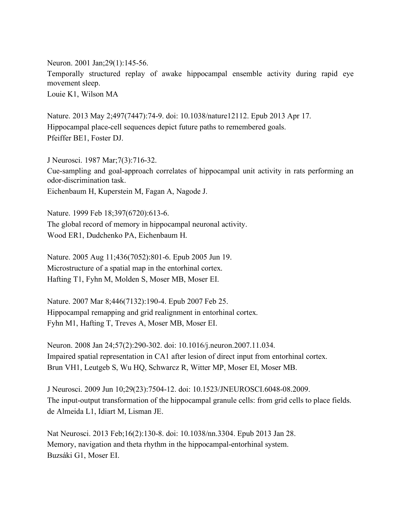Neuron. 2001 Jan;29(1):145-56. Temporally structured replay of awake hippocampal ensemble activity during rapid eye movement sleep. Louie K1, Wilson MA

Nature. 2013 May 2;497(7447):74-9. doi: 10.1038/nature12112. Epub 2013 Apr 17. Hippocampal place-cell sequences depict future paths to remembered goals. Pfeiffer BE1, Foster DJ.

J Neurosci. 1987 Mar;7(3):716-32. Cue-sampling and goal-approach correlates of hippocampal unit activity in rats performing an odor-discrimination task. Eichenbaum H, Kuperstein M, Fagan A, Nagode J.

Nature. 1999 Feb 18;397(6720):613-6. The global record of memory in hippocampal neuronal activity. Wood ER1, Dudchenko PA, Eichenbaum H.

Nature. 2005 Aug 11;436(7052):801-6. Epub 2005 Jun 19. Microstructure of a spatial map in the entorhinal cortex. Hafting T1, Fyhn M, Molden S, Moser MB, Moser EI.

Nature. 2007 Mar 8;446(7132):190-4. Epub 2007 Feb 25. Hippocampal remapping and grid realignment in entorhinal cortex. Fyhn M1, Hafting T, Treves A, Moser MB, Moser EI.

Neuron. 2008 Jan 24;57(2):290-302. doi: 10.1016/j.neuron.2007.11.034. Impaired spatial representation in CA1 after lesion of direct input from entorhinal cortex. Brun VH1, Leutgeb S, Wu HQ, Schwarcz R, Witter MP, Moser EI, Moser MB.

J Neurosci. 2009 Jun 10;29(23):7504-12. doi: 10.1523/JNEUROSCI.6048-08.2009. The input-output transformation of the hippocampal granule cells: from grid cells to place fields. de Almeida L1, Idiart M, Lisman JE.

Nat Neurosci. 2013 Feb;16(2):130-8. doi: 10.1038/nn.3304. Epub 2013 Jan 28. Memory, navigation and theta rhythm in the hippocampal-entorhinal system. Buzsáki G1, Moser EI.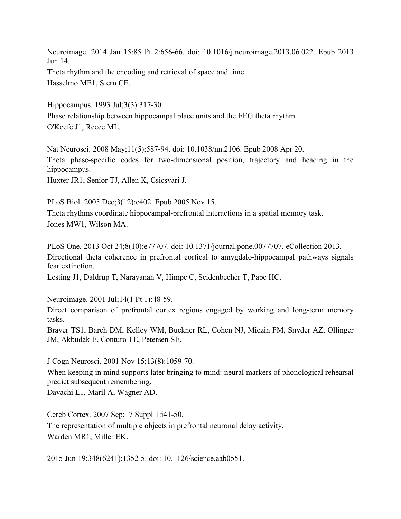Neuroimage. 2014 Jan 15;85 Pt 2:656-66. doi: 10.1016/j.neuroimage.2013.06.022. Epub 2013 Jun 14. Theta rhythm and the encoding and retrieval of space and time. Hasselmo ME1, Stern CE.

Hippocampus. 1993 Jul;3(3):317-30. Phase relationship between hippocampal place units and the EEG theta rhythm. O'Keefe J1, Recce ML.

Nat Neurosci. 2008 May;11(5):587-94. doi: 10.1038/nn.2106. Epub 2008 Apr 20. Theta phase-specific codes for two-dimensional position, trajectory and heading in the hippocampus. Huxter JR1, Senior TJ, Allen K, Csicsvari J.

PLoS Biol. 2005 Dec;3(12):e402. Epub 2005 Nov 15. Theta rhythms coordinate hippocampal-prefrontal interactions in a spatial memory task. Jones MW1, Wilson MA.

PLoS One. 2013 Oct 24;8(10):e77707. doi: 10.1371/journal.pone.0077707. eCollection 2013. Directional theta coherence in prefrontal cortical to amygdalo-hippocampal pathways signals fear extinction.

Lesting J1, Daldrup T, Narayanan V, Himpe C, Seidenbecher T, Pape HC.

Neuroimage. 2001 Jul;14(1 Pt 1):48-59.

Direct comparison of prefrontal cortex regions engaged by working and long-term memory tasks.

Braver TS1, Barch DM, Kelley WM, Buckner RL, Cohen NJ, Miezin FM, Snyder AZ, Ollinger JM, Akbudak E, Conturo TE, Petersen SE.

J Cogn Neurosci. 2001 Nov 15;13(8):1059-70.

When keeping in mind supports later bringing to mind: neural markers of phonological rehearsal predict subsequent remembering.

Davachi L1, Maril A, Wagner AD.

Cereb Cortex. 2007 Sep;17 Suppl 1:i41-50.

The representation of multiple objects in prefrontal neuronal delay activity. Warden MR1, Miller EK.

2015 Jun 19;348(6241):1352-5. doi: 10.1126/science.aab0551.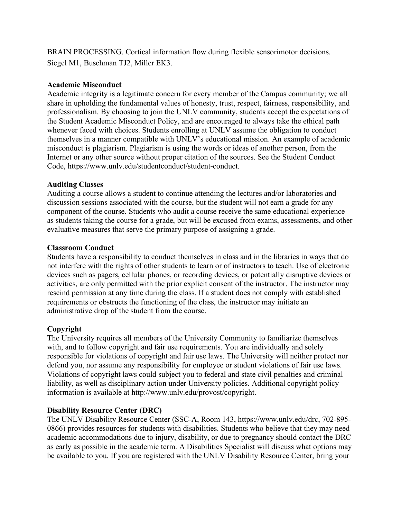BRAIN PROCESSING. Cortical information flow during flexible sensorimotor decisions. Siegel M1, Buschman TJ2, Miller EK3.

### **Academic Misconduct**

Academic integrity is a legitimate concern for every member of the Campus community; we all share in upholding the fundamental values of honesty, trust, respect, fairness, responsibility, and professionalism. By choosing to join the UNLV community, students accept the expectations of the Student Academic Misconduct Policy, and are encouraged to always take the ethical path whenever faced with choices. Students enrolling at UNLV assume the obligation to conduct themselves in a manner compatible with UNLV's educational mission. An example of academic misconduct is plagiarism. Plagiarism is using the words or ideas of another person, from the Internet or any other source without proper citation of the sources. See the Student Conduct Code, https://www.unlv.edu/studentconduct/student-conduct.

## **Auditing Classes**

Auditing a course allows a student to continue attending the lectures and/or laboratories and discussion sessions associated with the course, but the student will not earn a grade for any component of the course. Students who audit a course receive the same educational experience as students taking the course for a grade, but will be excused from exams, assessments, and other evaluative measures that serve the primary purpose of assigning a grade.

## **Classroom Conduct**

Students have a responsibility to conduct themselves in class and in the libraries in ways that do not interfere with the rights of other students to learn or of instructors to teach. Use of electronic devices such as pagers, cellular phones, or recording devices, or potentially disruptive devices or activities, are only permitted with the prior explicit consent of the instructor. The instructor may rescind permission at any time during the class. If a student does not comply with established requirements or obstructs the functioning of the class, the instructor may initiate an administrative drop of the student from the course.

## **Copyright**

The University requires all members of the University Community to familiarize themselves with, and to follow copyright and fair use requirements. You are individually and solely responsible for violations of copyright and fair use laws. The University will neither protect nor defend you, nor assume any responsibility for employee or student violations of fair use laws. Violations of copyright laws could subject you to federal and state civil penalties and criminal liability, as well as disciplinary action under University policies. Additional copyright policy information is available at http://www.unlv.edu/provost/copyright.

## **Disability Resource Center (DRC)**

The UNLV Disability Resource Center (SSC-A, Room 143, https://www.unlv.edu/drc, 702-895- 0866) provides resources for students with disabilities. Students who believe that they may need academic accommodations due to injury, disability, or due to pregnancy should contact the DRC as early as possible in the academic term. A Disabilities Specialist will discuss what options may be available to you. If you are registered with the UNLV Disability Resource Center, bring your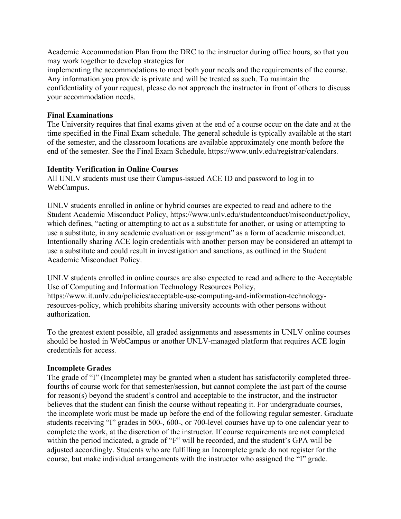Academic Accommodation Plan from the DRC to the instructor during office hours, so that you may work together to develop strategies for

implementing the accommodations to meet both your needs and the requirements of the course. Any information you provide is private and will be treated as such. To maintain the confidentiality of your request, please do not approach the instructor in front of others to discuss your accommodation needs.

### **Final Examinations**

The University requires that final exams given at the end of a course occur on the date and at the time specified in the Final Exam schedule. The general schedule is typically available at the start of the semester, and the classroom locations are available approximately one month before the end of the semester. See the Final Exam Schedule, https://www.unlv.edu/registrar/calendars.

## **Identity Verification in Online Courses**

All UNLV students must use their Campus-issued ACE ID and password to log in to WebCampus.

UNLV students enrolled in online or hybrid courses are expected to read and adhere to the Student Academic Misconduct Policy, https://www.unlv.edu/studentconduct/misconduct/policy, which defines, "acting or attempting to act as a substitute for another, or using or attempting to use a substitute, in any academic evaluation or assignment" as a form of academic misconduct. Intentionally sharing ACE login credentials with another person may be considered an attempt to use a substitute and could result in investigation and sanctions, as outlined in the Student Academic Misconduct Policy.

UNLV students enrolled in online courses are also expected to read and adhere to the Acceptable Use of Computing and Information Technology Resources Policy, https://www.it.unlv.edu/policies/acceptable-use-computing-and-information-technologyresources-policy, which prohibits sharing university accounts with other persons without authorization.

To the greatest extent possible, all graded assignments and assessments in UNLV online courses should be hosted in WebCampus or another UNLV-managed platform that requires ACE login credentials for access.

#### **Incomplete Grades**

The grade of "I" (Incomplete) may be granted when a student has satisfactorily completed threefourths of course work for that semester/session, but cannot complete the last part of the course for reason(s) beyond the student's control and acceptable to the instructor, and the instructor believes that the student can finish the course without repeating it. For undergraduate courses, the incomplete work must be made up before the end of the following regular semester. Graduate students receiving "I" grades in 500-, 600-, or 700-level courses have up to one calendar year to complete the work, at the discretion of the instructor. If course requirements are not completed within the period indicated, a grade of "F" will be recorded, and the student's GPA will be adjusted accordingly. Students who are fulfilling an Incomplete grade do not register for the course, but make individual arrangements with the instructor who assigned the "I" grade.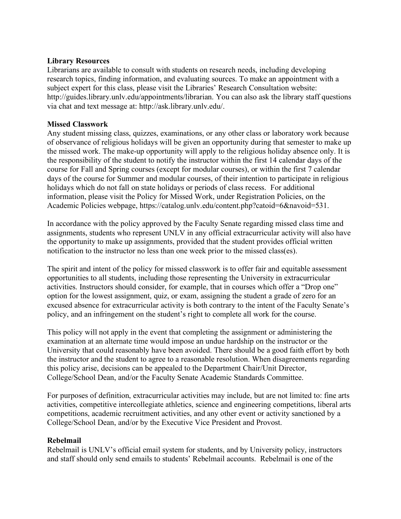### **Library Resources**

Librarians are available to consult with students on research needs, including developing research topics, finding information, and evaluating sources. To make an appointment with a subject expert for this class, please visit the Libraries' Research Consultation website: http://guides.library.unly.edu/appointments/librarian. You can also ask the library staff questions via chat and text message at: http://ask.library.unlv.edu/.

## **Missed Classwork**

Any student missing class, quizzes, examinations, or any other class or laboratory work because of observance of religious holidays will be given an opportunity during that semester to make up the missed work. The make-up opportunity will apply to the religious holiday absence only. It is the responsibility of the student to notify the instructor within the first 14 calendar days of the course for Fall and Spring courses (except for modular courses), or within the first 7 calendar days of the course for Summer and modular courses, of their intention to participate in religious holidays which do not fall on state holidays or periods of class recess. For additional information, please visit the Policy for Missed Work, under Registration Policies, on the Academic Policies webpage, https://catalog.unlv.edu/content.php?catoid=6&navoid=531.

In accordance with the policy approved by the Faculty Senate regarding missed class time and assignments, students who represent UNLV in any official extracurricular activity will also have the opportunity to make up assignments, provided that the student provides official written notification to the instructor no less than one week prior to the missed class(es).

The spirit and intent of the policy for missed classwork is to offer fair and equitable assessment opportunities to all students, including those representing the University in extracurricular activities. Instructors should consider, for example, that in courses which offer a "Drop one" option for the lowest assignment, quiz, or exam, assigning the student a grade of zero for an excused absence for extracurricular activity is both contrary to the intent of the Faculty Senate's policy, and an infringement on the student's right to complete all work for the course.

This policy will not apply in the event that completing the assignment or administering the examination at an alternate time would impose an undue hardship on the instructor or the University that could reasonably have been avoided. There should be a good faith effort by both the instructor and the student to agree to a reasonable resolution. When disagreements regarding this policy arise, decisions can be appealed to the Department Chair/Unit Director, College/School Dean, and/or the Faculty Senate Academic Standards Committee.

For purposes of definition, extracurricular activities may include, but are not limited to: fine arts activities, competitive intercollegiate athletics, science and engineering competitions, liberal arts competitions, academic recruitment activities, and any other event or activity sanctioned by a College/School Dean, and/or by the Executive Vice President and Provost.

## **Rebelmail**

Rebelmail is UNLV's official email system for students, and by University policy, instructors and staff should only send emails to students' Rebelmail accounts. Rebelmail is one of the